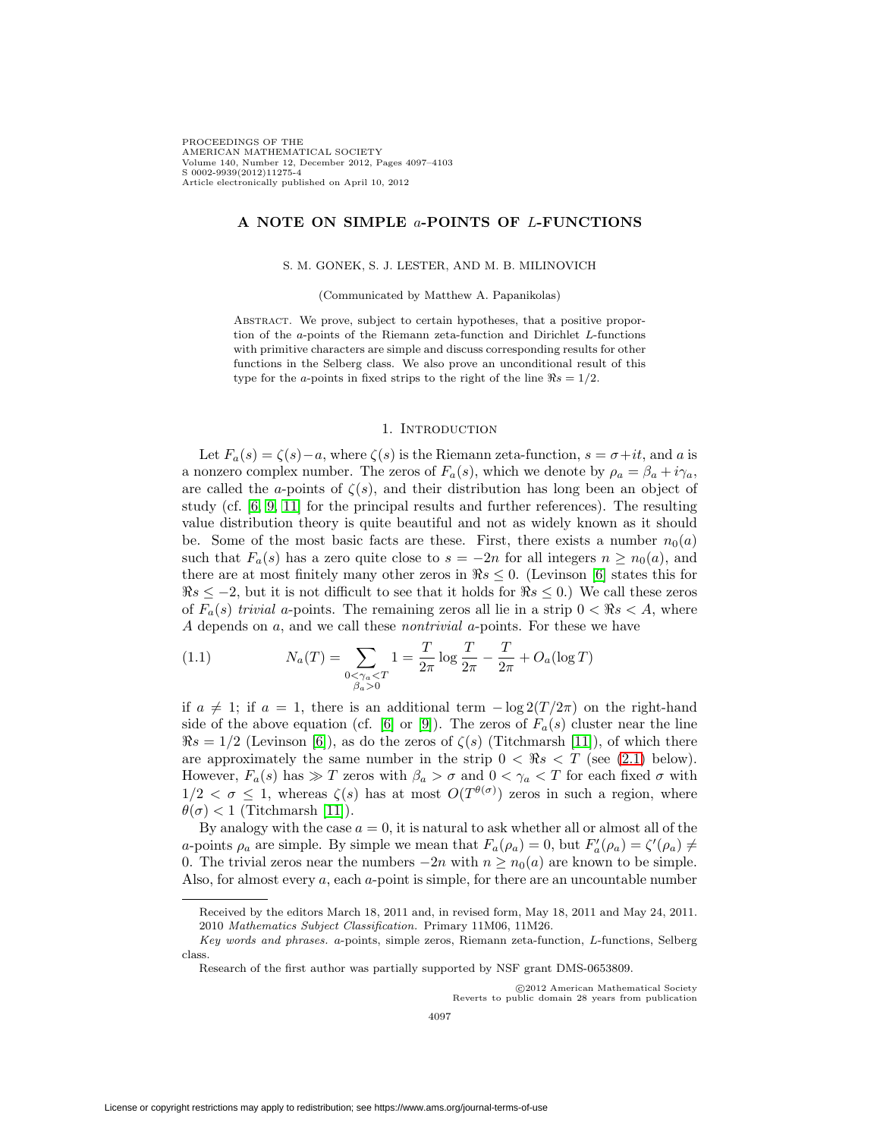PROCEEDINGS OF THE AMERICAN MATHEMATICAL SOCIETY Volume 140, Number 12, December 2012, Pages 4097–4103 S 0002-9939(2012)11275-4 Article electronically published on April 10, 2012

### **A NOTE ON SIMPLE** a**-POINTS OF** L**-FUNCTIONS**

#### S. M. GONEK, S. J. LESTER, AND M. B. MILINOVICH

(Communicated by Matthew A. Papanikolas)

ABSTRACT. We prove, subject to certain hypotheses, that a positive proportion of the a-points of the Riemann zeta-function and Dirichlet L-functions with primitive characters are simple and discuss corresponding results for other functions in the Selberg class. We also prove an unconditional result of this type for the *a*-points in fixed strips to the right of the line  $\Re s = 1/2$ .

#### 1. INTRODUCTION

Let  $F_a(s) = \zeta(s) - a$ , where  $\zeta(s)$  is the Riemann zeta-function,  $s = \sigma + it$ , and a is a nonzero complex number. The zeros of  $F_a(s)$ , which we denote by  $\rho_a = \beta_a + i\gamma_a$ , are called the a-points of  $\zeta(s)$ , and their distribution has long been an object of study (cf. [\[6,](#page-5-0) [9,](#page-6-0) [11\]](#page-6-1) for the principal results and further references). The resulting value distribution theory is quite beautiful and not as widely known as it should be. Some of the most basic facts are these. First, there exists a number  $n_0(a)$ such that  $F_a(s)$  has a zero quite close to  $s = -2n$  for all integers  $n \geq n_0(a)$ , and there are at most finitely many other zeros in  $\Re s \leq 0$ . (Levinson [\[6\]](#page-5-0) states this for  $\Re s \leq -2$ , but it is not difficult to see that it holds for  $\Re s \leq 0$ .) We call these zeros of  $F_a(s)$  trivial a-points. The remaining zeros all lie in a strip  $0 < \Re s < A$ , where A depends on a, and we call these nontrivial a-points. For these we have

<span id="page-0-0"></span>(1.1) 
$$
N_a(T) = \sum_{\substack{0 < \gamma_a < T \\ \beta_a > 0}} 1 = \frac{T}{2\pi} \log \frac{T}{2\pi} - \frac{T}{2\pi} + O_a(\log T)
$$

if  $a \neq 1$ ; if  $a = 1$ , there is an additional term  $-\log 2(T/2\pi)$  on the right-hand side of the above equation (cf. [\[6\]](#page-5-0) or [\[9\]](#page-6-0)). The zeros of  $F_a(s)$  cluster near the line  $\Re s = 1/2$  (Levinson [\[6\]](#page-5-0)), as do the zeros of  $\zeta(s)$  (Titchmarsh [\[11\]](#page-6-1)), of which there are approximately the same number in the strip  $0 < \Re s < T$  (see [\(2.1\)](#page-1-0) below). However,  $F_a(s)$  has  $\gg T$  zeros with  $\beta_a > \sigma$  and  $0 < \gamma_a < T$  for each fixed  $\sigma$  with  $1/2 < \sigma \leq 1$ , whereas  $\zeta(s)$  has at most  $O(T^{\theta(\sigma)})$  zeros in such a region, where  $\theta(\sigma) < 1$  (Titchmarsh [\[11\]](#page-6-1)).

By analogy with the case  $a = 0$ , it is natural to ask whether all or almost all of the a-points  $\rho_a$  are simple. By simple we mean that  $F_a(\rho_a) = 0$ , but  $F'_a(\rho_a) = \zeta'(\rho_a) \neq$ 0. The trivial zeros near the numbers  $-2n$  with  $n \geq n_0(a)$  are known to be simple. Also, for almost every a, each a-point is simple, for there are an uncountable number

C2012 American Mathematical Society)<br>Reverts to public domain 28 years from publication c 2012 American Mathematical Society

Received by the editors March 18, 2011 and, in revised form, May 18, 2011 and May 24, 2011. 2010 Mathematics Subject Classification. Primary 11M06, 11M26.

Key words and phrases. a-points, simple zeros, Riemann zeta-function, L-functions, Selberg class.

Research of the first author was partially supported by NSF grant DMS-0653809.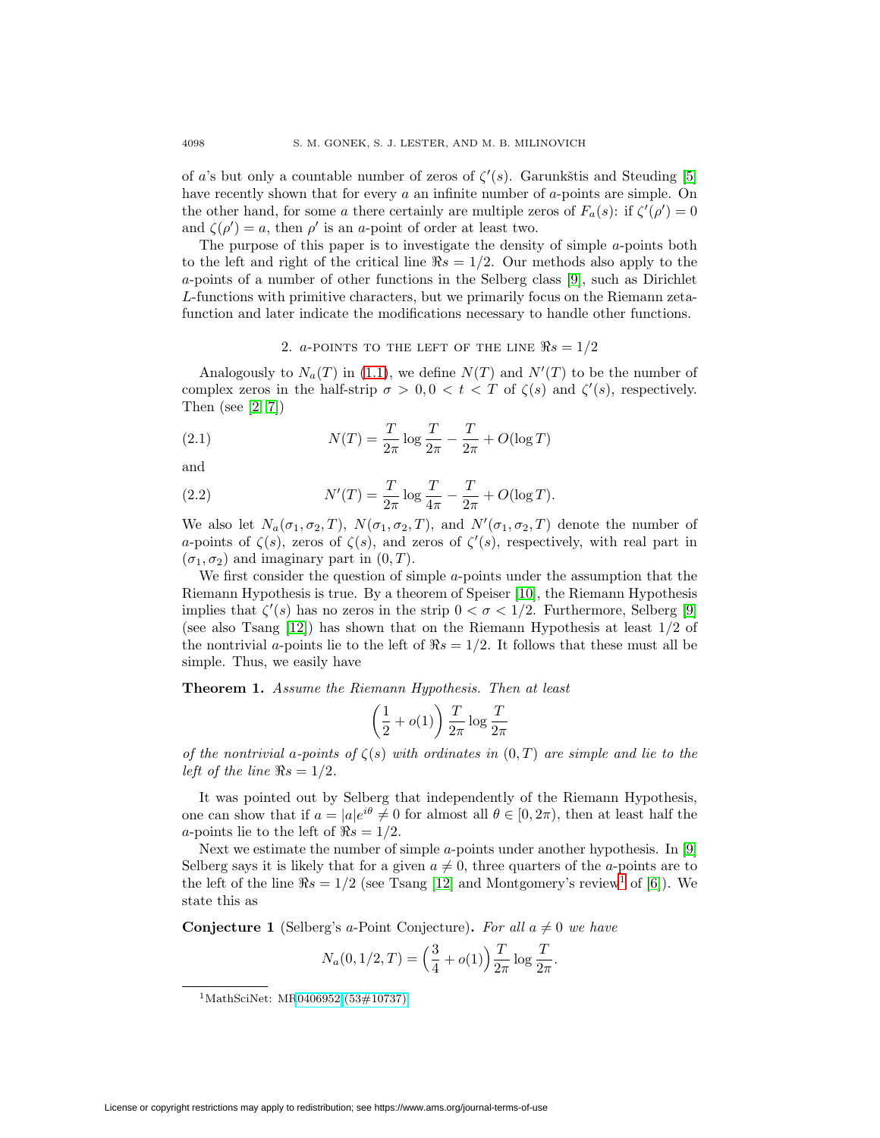of a's but only a countable number of zeros of  $\zeta'(s)$ . Garunkštis and Steuding [\[5\]](#page-5-1) have recently shown that for every a an infinite number of a-points are simple. On the other hand, for some a there certainly are multiple zeros of  $F_a(s)$ : if  $\zeta'(\rho') = 0$ and  $\zeta(\rho') = a$ , then  $\rho'$  is an a-point of order at least two.

The purpose of this paper is to investigate the density of simple a-points both to the left and right of the critical line  $\Re s = 1/2$ . Our methods also apply to the a-points of a number of other functions in the Selberg class [\[9\]](#page-6-0), such as Dirichlet L-functions with primitive characters, but we primarily focus on the Riemann zetafunction and later indicate the modifications necessary to handle other functions.

## 2. a-POINTS TO THE LEFT OF THE LINE  $\Re s = 1/2$

Analogously to  $N_a(T)$  in [\(1.1\)](#page-0-0), we define  $N(T)$  and  $N'(T)$  to be the number of complex zeros in the half-strip  $\sigma > 0, 0 < t < T$  of  $\zeta(s)$  and  $\zeta'(s)$ , respectively. Then (see [\[2,](#page-5-2) [7\]](#page-6-2))

<span id="page-1-0"></span>(2.1) 
$$
N(T) = \frac{T}{2\pi} \log \frac{T}{2\pi} - \frac{T}{2\pi} + O(\log T)
$$

and

<span id="page-1-2"></span>(2.2) 
$$
N'(T) = \frac{T}{2\pi} \log \frac{T}{4\pi} - \frac{T}{2\pi} + O(\log T).
$$

We also let  $N_a(\sigma_1, \sigma_2, T)$ ,  $N(\sigma_1, \sigma_2, T)$ , and  $N'(\sigma_1, \sigma_2, T)$  denote the number of a-points of  $\zeta(s)$ , zeros of  $\zeta(s)$ , and zeros of  $\zeta'(s)$ , respectively, with real part in  $(\sigma_1, \sigma_2)$  and imaginary part in  $(0, T)$ .

We first consider the question of simple  $a$ -points under the assumption that the Riemann Hypothesis is true. By a theorem of Speiser [\[10\]](#page-6-3), the Riemann Hypothesis implies that  $\zeta'(s)$  has no zeros in the strip  $0 < \sigma < 1/2$ . Furthermore, Selberg [\[9\]](#page-6-0) (see also Tsang  $[12]$ ) has shown that on the Riemann Hypothesis at least  $1/2$  of the nontrivial a-points lie to the left of  $\Re s = 1/2$ . It follows that these must all be simple. Thus, we easily have

<span id="page-1-4"></span>**Theorem 1.** Assume the Riemann Hypothesis. Then at least

$$
\left(\frac{1}{2}+o(1)\right)\frac{T}{2\pi}\log\frac{T}{2\pi}
$$

of the nontrivial a-points of  $\zeta(s)$  with ordinates in  $(0,T)$  are simple and lie to the left of the line  $\Re s = 1/2$ .

It was pointed out by Selberg that independently of the Riemann Hypothesis, one can show that if  $a = |a|e^{i\theta} \neq 0$  for almost all  $\theta \in [0, 2\pi)$ , then at least half the a-points lie to the left of  $\Re s = 1/2$ .

Next we estimate the number of simple a-points under another hypothesis. In [\[9\]](#page-6-0) Selberg says it is likely that for a given  $a \neq 0$ , three quarters of the a-points are to the left of the line  $\Re s = 1/2$  $\Re s = 1/2$  $\Re s = 1/2$  (see Tsang [\[12\]](#page-6-4) and Montgomery's review<sup>1</sup> of [\[6\]](#page-5-0)). We state this as

<span id="page-1-3"></span>**Conjecture 1** (Selberg's a-Point Conjecture). For all  $a \neq 0$  we have

$$
N_a(0, 1/2, T) = \left(\frac{3}{4} + o(1)\right) \frac{T}{2\pi} \log \frac{T}{2\pi}.
$$

<span id="page-1-1"></span><sup>1</sup>MathSciNet: M[R0406952 \(53#10737\)](http://www.ams.org/mathscinet-getitem?mr=0406952)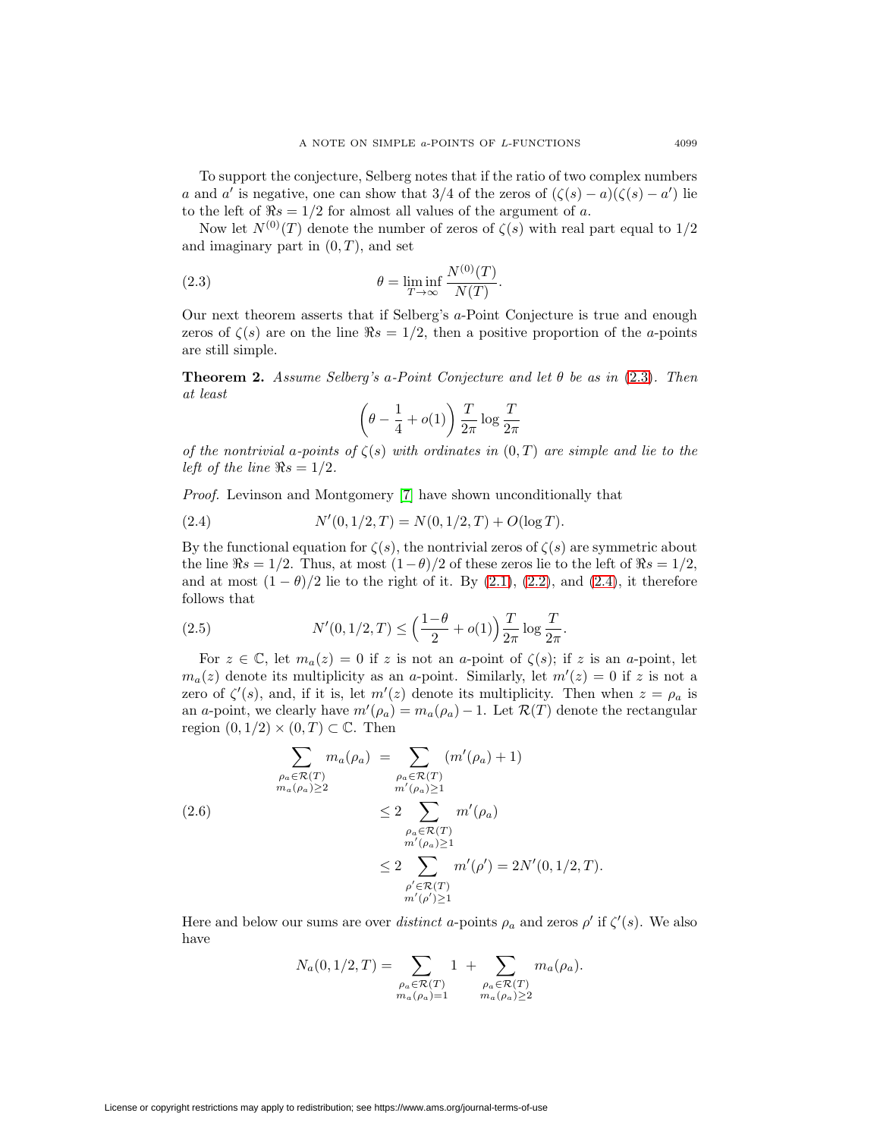To support the conjecture, Selberg notes that if the ratio of two complex numbers a and a' is negative, one can show that 3/4 of the zeros of  $(\zeta(s) - a)(\zeta(s) - a')$  lie to the left of  $\Re s = 1/2$  for almost all values of the argument of a.

Now let  $N^{(0)}(T)$  denote the number of zeros of  $\zeta(s)$  with real part equal to  $1/2$ and imaginary part in  $(0, T)$ , and set

<span id="page-2-0"></span>(2.3) 
$$
\theta = \liminf_{T \to \infty} \frac{N^{(0)}(T)}{N(T)}.
$$

Our next theorem asserts that if Selberg's a-Point Conjecture is true and enough zeros of  $\zeta(s)$  are on the line  $\Re s = 1/2$ , then a positive proportion of the *a*-points are still simple.

<span id="page-2-4"></span>**Theorem 2.** Assume Selberg's a-Point Conjecture and let  $\theta$  be as in [\(2.3\)](#page-2-0). Then at least

$$
\left(\theta - \frac{1}{4} + o(1)\right) \frac{T}{2\pi} \log \frac{T}{2\pi}
$$

of the nontrivial a-points of  $\zeta(s)$  with ordinates in  $(0,T)$  are simple and lie to the left of the line  $\Re s = 1/2$ .

Proof. Levinson and Montgomery [\[7\]](#page-6-2) have shown unconditionally that

<span id="page-2-1"></span>(2.4) 
$$
N'(0,1/2,T) = N(0,1/2,T) + O(\log T).
$$

By the functional equation for  $\zeta(s)$ , the nontrivial zeros of  $\zeta(s)$  are symmetric about the line  $\Re s = 1/2$ . Thus, at most  $(1-\theta)/2$  of these zeros lie to the left of  $\Re s = 1/2$ , and at most  $(1 - \theta)/2$  lie to the right of it. By  $(2.1)$ ,  $(2.2)$ , and  $(2.4)$ , it therefore follows that

<span id="page-2-3"></span>(2.5) 
$$
N'(0, 1/2, T) \le \left(\frac{1-\theta}{2} + o(1)\right) \frac{T}{2\pi} \log \frac{T}{2\pi}.
$$

For  $z \in \mathbb{C}$ , let  $m_a(z) = 0$  if z is not an a-point of  $\zeta(s)$ ; if z is an a-point, let  $m_a(z)$  denote its multiplicity as an a-point. Similarly, let  $m'(z) = 0$  if z is not a zero of  $\zeta'(s)$ , and, if it is, let  $m'(z)$  denote its multiplicity. Then when  $z = \rho_a$  is an a-point, we clearly have  $m'(\rho_a) = m_a(\rho_a) - 1$ . Let  $\mathcal{R}(T)$  denote the rectangular region  $(0, 1/2) \times (0, T) \subset \mathbb{C}$ . Then

<span id="page-2-2"></span>
$$
\sum_{\substack{\rho_a \in \mathcal{R}(T) \\ m_a(\rho_a) \ge 2}} m_a(\rho_a) = \sum_{\substack{\rho_a \in \mathcal{R}(T) \\ m'(\rho_a) \ge 1}} (m'(\rho_a) + 1)
$$
\n
$$
\le 2 \sum_{\substack{\rho_a \in \mathcal{R}(T) \\ m'(\rho_a) \ge 1}} m'(\rho_a)
$$
\n
$$
\le 2 \sum_{\substack{\rho_a \in \mathcal{R}(T) \\ m'(\rho') \ge 1}} m'(\rho') = 2N'(0, 1/2, T).
$$

Here and below our sums are over *distinct* a-points  $\rho_a$  and zeros  $\rho'$  if  $\zeta'(s)$ . We also have

$$
N_a(0,1/2,T) = \sum_{\substack{\rho_a \in \mathcal{R}(T) \\ m_a(\rho_a)=1}} 1 + \sum_{\substack{\rho_a \in \mathcal{R}(T) \\ m_a(\rho_a) \ge 2}} m_a(\rho_a).
$$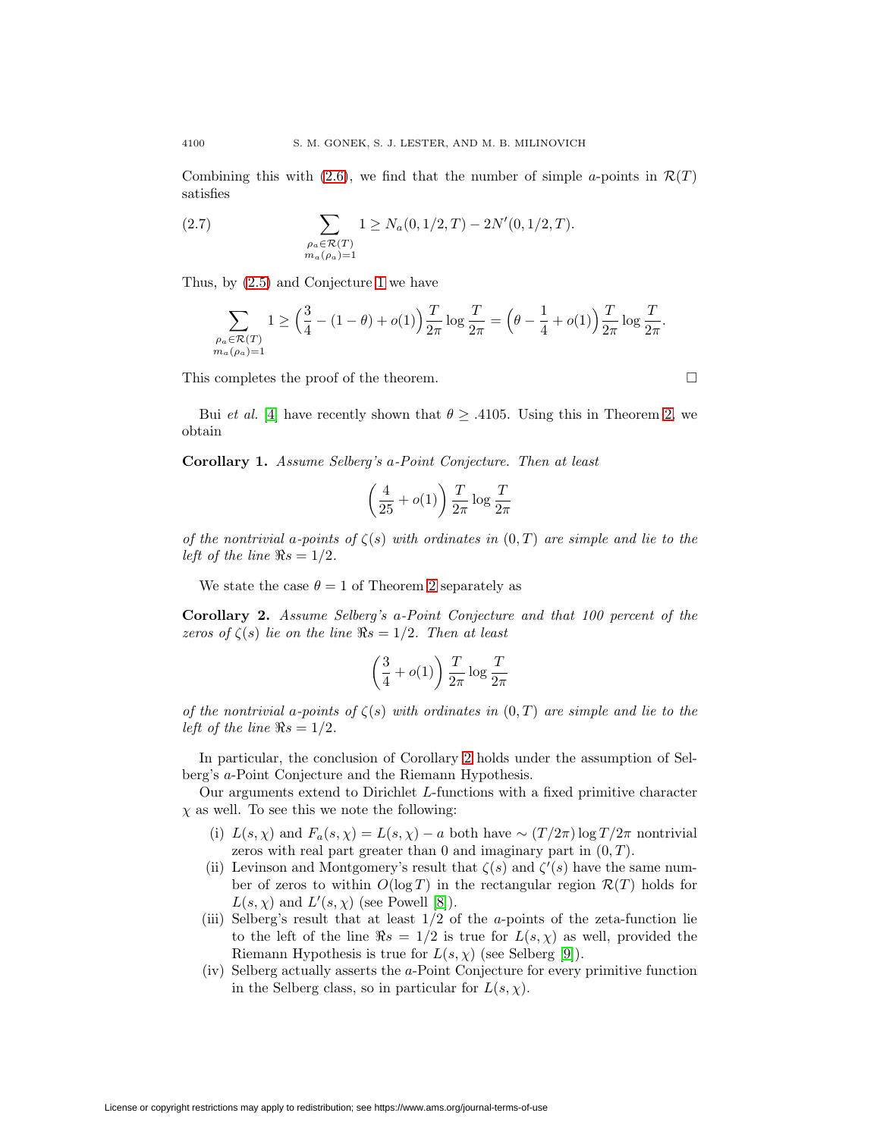Combining this with [\(2.6\)](#page-2-2), we find that the number of simple a-points in  $\mathcal{R}(T)$ satisfies

(2.7) 
$$
\sum_{\substack{\rho_a \in \mathcal{R}(T) \\ m_a(\rho_a) = 1}} 1 \ge N_a(0, 1/2, T) - 2N'(0, 1/2, T).
$$

Thus, by [\(2.5\)](#page-2-3) and Conjecture [1](#page-1-3) we have

$$
\sum_{\substack{\rho_a \in \mathcal{R}(T) \\ m_a(\rho_a) = 1}} 1 \ge \Big( \frac{3}{4} - (1 - \theta) + o(1) \Big) \frac{T}{2\pi} \log \frac{T}{2\pi} = \Big( \theta - \frac{1}{4} + o(1) \Big) \frac{T}{2\pi} \log \frac{T}{2\pi}.
$$

 $\Box$ 

This completes the proof of the theorem.

Bui *et al.* [\[4\]](#page-5-3) have recently shown that  $\theta \geq .4105$ . Using this in Theorem [2,](#page-2-4) we obtain

**Corollary 1.** Assume Selberg's a-Point Conjecture. Then at least

$$
\left(\frac{4}{25}+o(1)\right)\frac{T}{2\pi}\log\frac{T}{2\pi}
$$

of the nontrivial a-points of  $\zeta(s)$  with ordinates in  $(0,T)$  are simple and lie to the left of the line  $\Re s = 1/2$ .

We state the case  $\theta = 1$  of Theorem [2](#page-2-4) separately as

<span id="page-3-0"></span>**Corollary 2.** Assume Selberg's a-Point Conjecture and that 100 percent of the zeros of  $\zeta(s)$  lie on the line  $\Re s = 1/2$ . Then at least

$$
\left(\frac{3}{4}+o(1)\right)\frac{T}{2\pi}\log\frac{T}{2\pi}
$$

of the nontrivial a-points of  $\zeta(s)$  with ordinates in  $(0,T)$  are simple and lie to the left of the line  $\Re s = 1/2$ .

In particular, the conclusion of Corollary [2](#page-3-0) holds under the assumption of Selberg's a-Point Conjecture and the Riemann Hypothesis.

Our arguments extend to Dirichlet L-functions with a fixed primitive character  $\chi$  as well. To see this we note the following:

- (i)  $L(s, \chi)$  and  $F_a(s, \chi) = L(s, \chi) a$  both have  $\sim (T/2\pi) \log T/2\pi$  nontrivial zeros with real part greater than 0 and imaginary part in  $(0, T)$ .
- (ii) Levinson and Montgomery's result that  $\zeta(s)$  and  $\zeta'(s)$  have the same number of zeros to within  $O(\log T)$  in the rectangular region  $\mathcal{R}(T)$  holds for  $L(s, \chi)$  and  $L'(s, \chi)$  (see Powell [\[8\]](#page-6-5)).
- (iii) Selberg's result that at least  $1/2$  of the a-points of the zeta-function lie to the left of the line  $\Re s = 1/2$  is true for  $L(s, \chi)$  as well, provided the Riemann Hypothesis is true for  $L(s, \chi)$  (see Selberg [\[9\]](#page-6-0)).
- (iv) Selberg actually asserts the a-Point Conjecture for every primitive function in the Selberg class, so in particular for  $L(s, \chi)$ .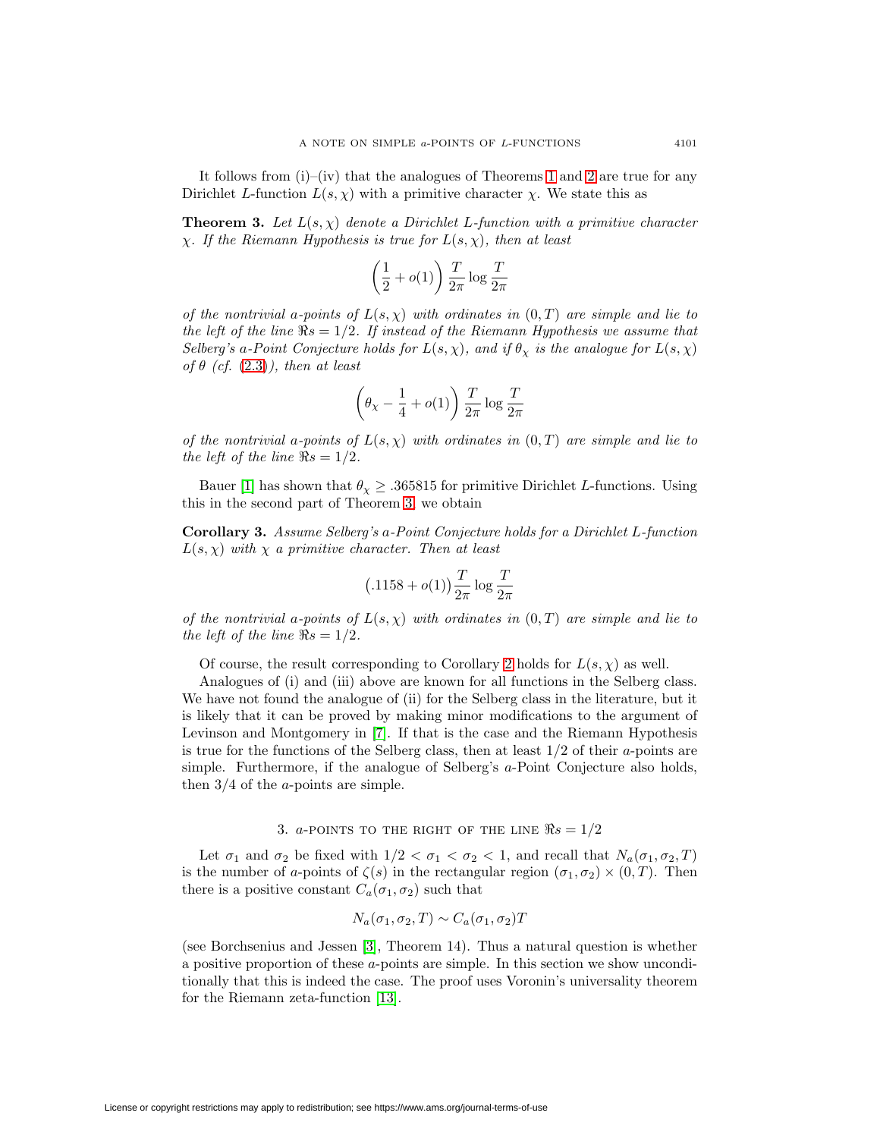It follows from  $(i)$ – $(iv)$  that the analogues of Theorems [1](#page-1-4) and [2](#page-2-4) are true for any Dirichlet L-function  $L(s, \chi)$  with a primitive character  $\chi$ . We state this as

<span id="page-4-0"></span>**Theorem 3.** Let  $L(s, \chi)$  denote a Dirichlet L-function with a primitive character  $\chi$ . If the Riemann Hypothesis is true for  $L(s, \chi)$ , then at least

$$
\left(\frac{1}{2}+o(1)\right)\frac{T}{2\pi}\log\frac{T}{2\pi}
$$

of the nontrivial a-points of  $L(s, \chi)$  with ordinates in  $(0, T)$  are simple and lie to the left of the line  $\Re s = 1/2$ . If instead of the Riemann Hypothesis we assume that Selberg's a-Point Conjecture holds for  $L(s, \chi)$ , and if  $\theta_{\chi}$  is the analogue for  $L(s, \chi)$ of  $\theta$  (cf. [\(2.3\)](#page-2-0)), then at least

$$
\left(\theta_\chi-\frac{1}{4}+o(1)\right)\frac{T}{2\pi}\log\frac{T}{2\pi}
$$

of the nontrivial a-points of  $L(s, \chi)$  with ordinates in  $(0, T)$  are simple and lie to the left of the line  $\Re s = 1/2$ .

Bauer [\[1\]](#page-5-4) has shown that  $\theta_{\chi} \geq .365815$  for primitive Dirichlet L-functions. Using this in the second part of Theorem [3,](#page-4-0) we obtain

**Corollary 3.** Assume Selberg's a-Point Conjecture holds for a Dirichlet L-function  $L(s, \chi)$  with  $\chi$  a primitive character. Then at least

$$
\big(.1158+o(1)\big)\frac{T}{2\pi}\log\frac{T}{2\pi}
$$

of the nontrivial a-points of  $L(s, \chi)$  with ordinates in  $(0, T)$  are simple and lie to the left of the line  $\Re s = 1/2$ .

Of course, the result corresponding to Corollary [2](#page-3-0) holds for  $L(s, \chi)$  as well.

Analogues of (i) and (iii) above are known for all functions in the Selberg class. We have not found the analogue of (ii) for the Selberg class in the literature, but it is likely that it can be proved by making minor modifications to the argument of Levinson and Montgomery in [\[7\]](#page-6-2). If that is the case and the Riemann Hypothesis is true for the functions of the Selberg class, then at least  $1/2$  of their a-points are simple. Furthermore, if the analogue of Selberg's a-Point Conjecture also holds, then  $3/4$  of the *a*-points are simple.

# 3. a-POINTS TO THE RIGHT OF THE LINE  $\Re s = 1/2$

Let  $\sigma_1$  and  $\sigma_2$  be fixed with  $1/2 < \sigma_1 < \sigma_2 < 1$ , and recall that  $N_a(\sigma_1, \sigma_2, T)$ is the number of a-points of  $\zeta(s)$  in the rectangular region  $(\sigma_1, \sigma_2) \times (0, T)$ . Then there is a positive constant  $C_a(\sigma_1, \sigma_2)$  such that

$$
N_a(\sigma_1, \sigma_2, T) \sim C_a(\sigma_1, \sigma_2)T
$$

(see Borchsenius and Jessen [\[3\]](#page-5-5), Theorem 14). Thus a natural question is whether a positive proportion of these a-points are simple. In this section we show unconditionally that this is indeed the case. The proof uses Voronin's universality theorem for the Riemann zeta-function [\[13\]](#page-6-6).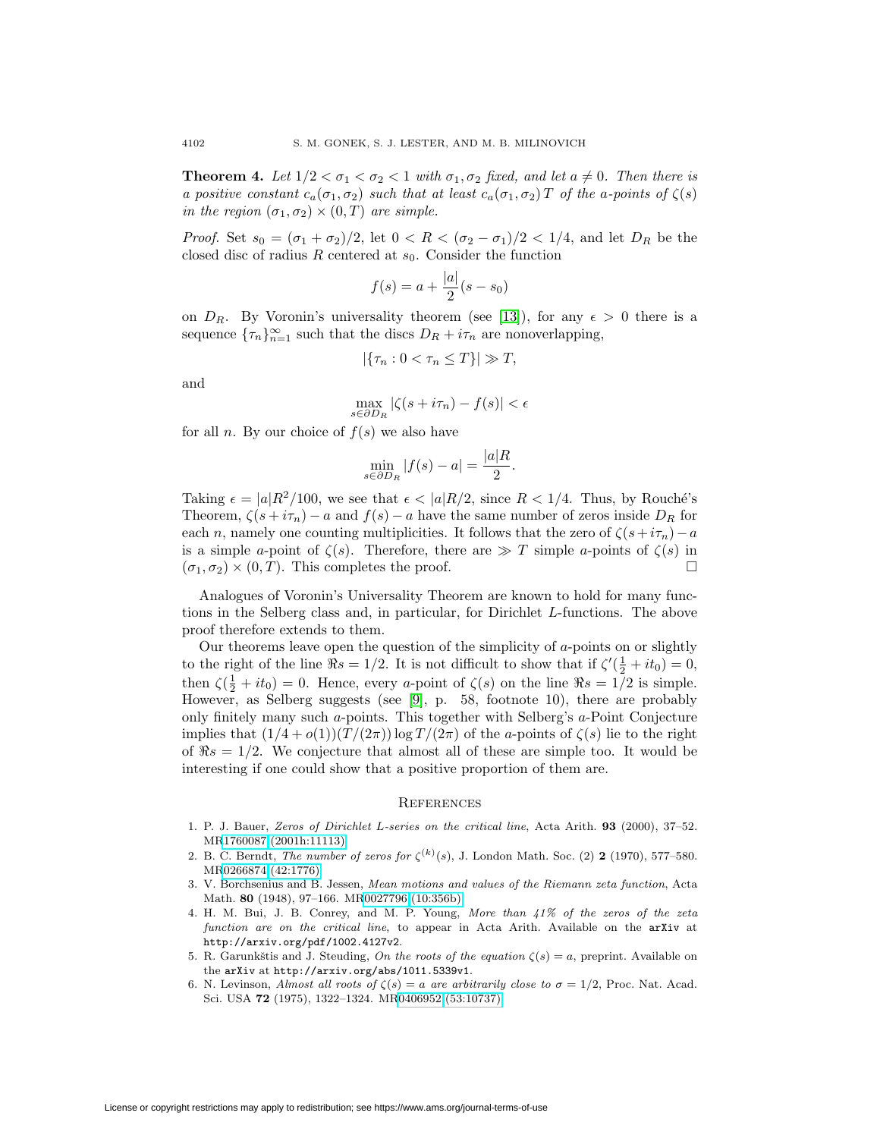**Theorem 4.** Let  $1/2 < \sigma_1 < \sigma_2 < 1$  with  $\sigma_1, \sigma_2$  fixed, and let  $a \neq 0$ . Then there is a positive constant  $c_a(\sigma_1, \sigma_2)$  such that at least  $c_a(\sigma_1, \sigma_2)$  T of the a-points of  $\zeta(s)$ in the region  $(\sigma_1, \sigma_2) \times (0, T)$  are simple.

*Proof.* Set  $s_0 = (\sigma_1 + \sigma_2)/2$ , let  $0 < R < (\sigma_2 - \sigma_1)/2 < 1/4$ , and let  $D_R$  be the closed disc of radius R centered at  $s_0$ . Consider the function

$$
f(s) = a + \frac{|a|}{2}(s - s_0)
$$

on  $D_R$ . By Voronin's universality theorem (see [\[13\]](#page-6-6)), for any  $\epsilon > 0$  there is a sequence  ${\lbrace \tau_n \rbrace}_{n=1}^{\infty}$  such that the discs  $D_R + i\tau_n$  are nonoverlapping,

$$
|\{\tau_n: 0 < \tau_n \le T\}| \gg T,
$$

and

$$
\max_{s \in \partial D_R} |\zeta(s + i\tau_n) - f(s)| < \epsilon
$$

for all n. By our choice of  $f(s)$  we also have

$$
\min_{s \in \partial D_R} |f(s) - a| = \frac{|a|R}{2}.
$$

Taking  $\epsilon = |a|R^2/100$ , we see that  $\epsilon < |a|R/2$ , since  $R < 1/4$ . Thus, by Rouché's Theorem,  $\zeta(s + i\tau_n) - a$  and  $f(s) - a$  have the same number of zeros inside  $D_R$  for each n, namely one counting multiplicities. It follows that the zero of  $\zeta(s+i\tau_n)-a$ is a simple a-point of  $\zeta(s)$ . Therefore, there are  $\gg T$  simple a-points of  $\zeta(s)$  in  $(\sigma_1, \sigma_2) \times (0, T)$ . This completes the proof.  $\square$ 

Analogues of Voronin's Universality Theorem are known to hold for many functions in the Selberg class and, in particular, for Dirichlet L-functions. The above proof therefore extends to them.

Our theorems leave open the question of the simplicity of a-points on or slightly to the right of the line  $\Re s = 1/2$ . It is not difficult to show that if  $\zeta'(\frac{1}{2} + it_0) = 0$ , then  $\zeta(\frac{1}{2} + it_0) = 0$ . Hence, every a-point of  $\zeta(s)$  on the line  $\Re s = 1/2$  is simple. However, as Selberg suggests (see [\[9\]](#page-6-0), p. 58, footnote 10), there are probably only finitely many such  $a$ -points. This together with Selberg's  $a$ -Point Conjecture implies that  $(1/4 + o(1))(T/(2\pi)) \log T/(2\pi)$  of the a-points of  $\zeta(s)$  lie to the right of  $\Re s = 1/2$ . We conjecture that almost all of these are simple too. It would be interesting if one could show that a positive proportion of them are.

### **REFERENCES**

- <span id="page-5-4"></span>1. P. J. Bauer, Zeros of Dirichlet L-series on the critical line, Acta Arith. **93** (2000), 37–52. M[R1760087 \(2001h:11113\)](http://www.ams.org/mathscinet-getitem?mr=1760087)
- <span id="page-5-2"></span>2. B. C. Berndt, *The number of zeros for*  $\zeta^{(k)}(s)$ , J. London Math. Soc. (2) **2** (1970), 577–580. M[R0266874 \(42:1776\)](http://www.ams.org/mathscinet-getitem?mr=0266874)
- <span id="page-5-5"></span>3. V. Borchsenius and B. Jessen, Mean motions and values of the Riemann zeta function, Acta Math. **80** (1948), 97–166. M[R0027796 \(10:356b\)](http://www.ams.org/mathscinet-getitem?mr=0027796)
- <span id="page-5-3"></span>4. H. M. Bui, J. B. Conrey, and M. P. Young, More than 41% of the zeros of the zeta function are on the critical line, to appear in Acta Arith. Available on the arXiv at http://arxiv.org/pdf/1002.4127v2.
- <span id="page-5-1"></span>5. R. Garunkštis and J. Steuding, On the roots of the equation  $\zeta(s) = a$ , preprint. Available on the arXiv at http://arxiv.org/abs/1011.5339v1.
- <span id="page-5-0"></span>6. N. Levinson, Almost all roots of  $\zeta(s) = a$  are arbitrarily close to  $\sigma = 1/2$ , Proc. Nat. Acad. Sci. USA **72** (1975), 1322–1324. M[R0406952 \(53:10737\)](http://www.ams.org/mathscinet-getitem?mr=0406952)